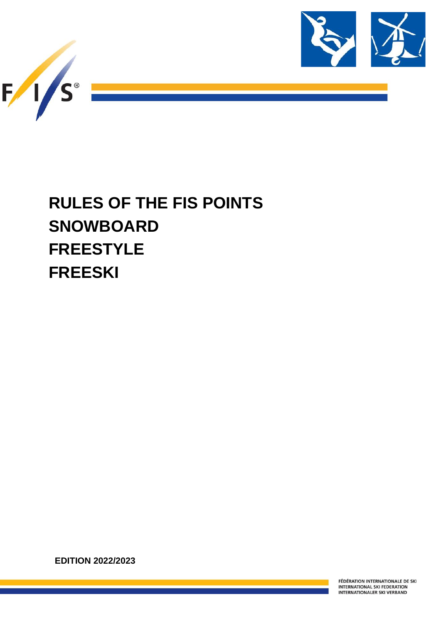

# **RULES OF THE FIS POINTS SNOWBOARD FREESTYLE FREESKI**

**EDITION 2022/2023**

FÉDÉRATION INTERNATIONALE DE SKI **INTERNATIONAL SKI FEDERATION INTERNATIONALER SKI VERBAND**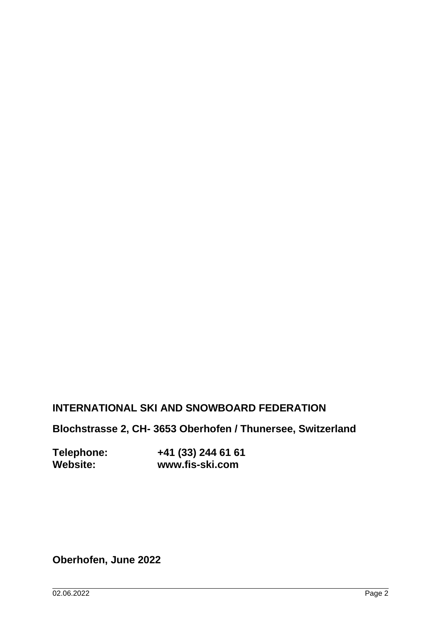# **INTERNATIONAL SKI AND SNOWBOARD FEDERATION**

**Blochstrasse 2, CH- 3653 Oberhofen / Thunersee, Switzerland**

| Telephone:      | +41 (33) 244 61 61 |
|-----------------|--------------------|
| <b>Website:</b> | www.fis-ski.com    |

**Oberhofen, June 2022**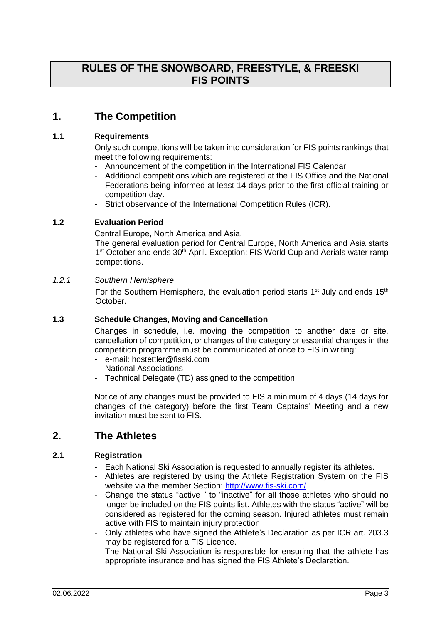# **RULES OF THE SNOWBOARD, FREESTYLE, & FREESKI FIS POINTS**

# **1. The Competition**

## **1.1 Requirements**

Only such competitions will be taken into consideration for FIS points rankings that meet the following requirements:

- Announcement of the competition in the International FIS Calendar.
- Additional competitions which are registered at the FIS Office and the National Federations being informed at least 14 days prior to the first official training or competition day.
- Strict observance of the International Competition Rules (ICR).

## **1.2 Evaluation Period**

Central Europe, North America and Asia.

The general evaluation period for Central Europe, North America and Asia starts 1<sup>st</sup> October and ends 30<sup>th</sup> April. Exception: FIS World Cup and Aerials water ramp competitions.

#### *1.2.1 Southern Hemisphere*

For the Southern Hemisphere, the evaluation period starts  $1<sup>st</sup>$  July and ends  $15<sup>th</sup>$ October.

## **1.3 Schedule Changes, Moving and Cancellation**

Changes in schedule, i.e. moving the competition to another date or site, cancellation of competition, or changes of the category or essential changes in the competition programme must be communicated at once to FIS in writing:

- e-mail: hostettler@fisski.com
- National Associations
- Technical Delegate (TD) assigned to the competition

Notice of any changes must be provided to FIS a minimum of 4 days (14 days for changes of the category) before the first Team Captains' Meeting and a new invitation must be sent to FIS.

# **2. The Athletes**

## **2.1 Registration**

- Each National Ski Association is requested to annually register its athletes.
- Athletes are registered by using the Athlete Registration System on the FIS website via the member Section:<http://www.fis-ski.com/>
- Change the status "active " to "inactive" for all those athletes who should no longer be included on the FIS points list. Athletes with the status "active" will be considered as registered for the coming season. Injured athletes must remain active with FIS to maintain injury protection.
- Only athletes who have signed the Athlete's Declaration as per ICR art. 203.3 may be registered for a FIS Licence.

The National Ski Association is responsible for ensuring that the athlete has appropriate insurance and has signed the FIS Athlete's Declaration.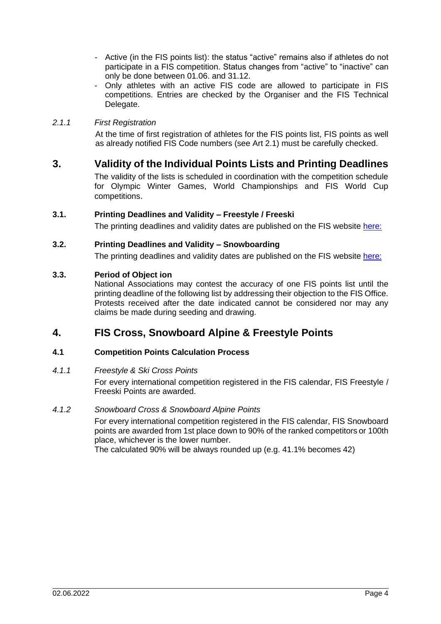- Active (in the FIS points list): the status "active" remains also if athletes do not participate in a FIS competition. Status changes from "active" to "inactive" can only be done between 01.06. and 31.12.
- Only athletes with an active FIS code are allowed to participate in FIS competitions. Entries are checked by the Organiser and the FIS Technical Delegate.

# *2.1.1 First Registration*

At the time of first registration of athletes for the FIS points list, FIS points as well as already notified FIS Code numbers (see Art 2.1) must be carefully checked.

# **3. Validity of the Individual Points Lists and Printing Deadlines**

The validity of the lists is scheduled in coordination with the competition schedule for Olympic Winter Games, World Championships and FIS World Cup competitions.

## **3.1. Printing Deadlines and Validity – Freestyle / Freeski**

The printing deadlines and validity dates are published on the FIS website [here:](https://assets.fis-ski.com/image/upload/fis-prod/assets/document-library/deadlines/2023/Deadlines-FS.pdf)

# **3.2. Printing Deadlines and Validity – Snowboarding**

The printing deadlines and validity dates are published on the FIS website [here:](https://assets.fis-ski.com/image/upload/fis-prod/assets/document-library/deadlines/2023/Deadlines-SB.pdf)

## **3.3. Period of Object ion**

National Associations may contest the accuracy of one FIS points list until the printing deadline of the following list by addressing their objection to the FIS Office. Protests received after the date indicated cannot be considered nor may any claims be made during seeding and drawing.

# **4. FIS Cross, Snowboard Alpine & Freestyle Points**

## **4.1 Competition Points Calculation Process**

## *4.1.1 Freestyle & Ski Cross Points*

For every international competition registered in the FIS calendar, FIS Freestyle / Freeski Points are awarded.

# *4.1.2 Snowboard Cross & Snowboard Alpine Points*

For every international competition registered in the FIS calendar, FIS Snowboard points are awarded from 1st place down to 90% of the ranked competitors or 100th place, whichever is the lower number.

The calculated 90% will be always rounded up (e.g. 41.1% becomes 42)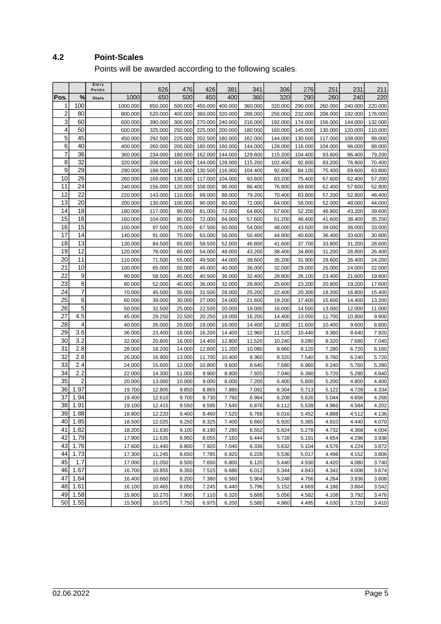# **4.2 Point-Scales**

Points will be awarded according to the following scales:

|                |      | Entry<br>Points |          | 626     | 476     | 426     | 381     | 341     | 306     | 276     | 251     | 231     | 211     |
|----------------|------|-----------------|----------|---------|---------|---------|---------|---------|---------|---------|---------|---------|---------|
| Pos            | %    |                 | 1000.    | 650     | 500     | 450     | 400     | 360     | 320     | 290     | 260     | 240     | 220     |
| 1              | 100  | Skala           | 1000.000 | 650.000 | 500.000 | 450.000 | 400.000 | 360.000 | 320.000 | 290.000 | 260.000 | 240.000 | 220.000 |
| $\overline{2}$ | 80   |                 | 800.000  | 520.000 | 400.000 | 360.000 | 320.000 | 288.000 | 256.000 | 232.000 | 208.000 | 192.000 | 176.000 |
| 3              | 60   |                 | 600.000  | 390.000 | 300.000 | 270.000 | 240.000 | 216.000 | 192.000 | 174.000 | 156.000 | 144.000 | 132.000 |
| 4              | 50   |                 | 500.000  | 325.000 | 250.000 | 225.000 | 200.000 | 180.000 | 160.000 | 145.000 | 130.000 | 120.000 | 110.000 |
| 5              | 45   |                 | 450.000  | 292.500 | 225.000 | 202.500 | 180.000 | 162.000 | 144.000 | 130.500 | 117.000 | 108.000 | 99.000  |
| 6              | 40   |                 | 400.000  | 260.000 | 200.000 | 180.000 | 160.000 | 144.000 | 128.000 | 116.000 | 104.000 | 96.000  | 88.000  |
| $\overline{7}$ | 36   |                 | 360.000  | 234.000 | 180.000 | 162.000 | 144.000 | 129.600 | 115.200 | 104.400 | 93.600  | 86.400  | 79.200  |
| 8              | 32   |                 | 320.000  | 208.000 | 160.000 | 144.000 | 128.000 | 115.200 | 102.400 | 92.800  | 83.200  | 76.800  | 70.400  |
| 9              | 29   |                 | 290.000  | 188.500 | 145.000 | 130.500 | 116.000 | 104.400 | 92.800  | 84.100  | 75.400  | 69.600  | 63.800  |
| 10             | 26   |                 | 260.000  | 169.000 | 130.000 | 117.000 | 104.000 | 93.600  | 83.200  | 75.400  | 67.600  | 62.400  | 57.200  |
| 11             | 24   |                 | 240.000  | 156.000 | 120.000 | 108.000 | 96.000  | 86.400  | 76.800  | 69.600  | 62.400  | 57.600  | 52.800  |
| 12             | 22   |                 | 220.000  | 143.000 | 110.000 | 99.000  | 88.000  | 79.200  | 70.400  | 63.800  | 57.200  | 52.800  | 48.400  |
| 13             | 20   |                 | 200.000  | 130.000 | 100.000 | 90.000  | 80.000  | 72.000  | 64.000  | 58.000  | 52.000  | 48.000  | 44.000  |
| 14             | 18   |                 | 180.000  | 117.000 | 90.000  | 81.000  | 72.000  | 64.800  | 57.600  | 52.200  | 46.800  | 43.200  | 39.600  |
| 15             | 16   |                 | 160.000  | 104.000 | 80.000  | 72.000  | 64.000  | 57.600  | 51.200  | 46.400  | 41.600  | 38.400  | 35.200  |
| 16             | 15   |                 | 150.000  | 97.500  | 75.000  | 67.500  | 60.000  | 54.000  | 48.000  | 43.500  | 39.000  | 36.000  | 33.000  |
| 17             | 14   |                 | 140.000  | 91.000  | 70.000  | 63.000  | 56.000  | 50.400  | 44.800  | 40.600  | 36.400  | 33.600  | 30.800  |
| 18             | 13   |                 | 130.000  | 84.500  | 65.000  | 58.500  | 52.000  | 46.800  | 41.600  | 37.700  | 33.800  | 31.200  | 28.600  |
| 19             | 12   |                 | 120.000  | 78.000  | 60.000  | 54.000  | 48.000  | 43.200  | 38.400  | 34.800  | 31.200  | 28.800  | 26.400  |
| 20             | 11   |                 | 110.000  | 71.500  | 55.000  | 49.500  | 44.000  | 39.600  | 35.200  | 31.900  | 28.600  | 26.400  | 24.200  |
| 21             | 10   |                 | 100.000  | 65.000  | 50.000  | 45.000  | 40.000  | 36.000  | 32.000  | 29.000  | 26.000  | 24.000  | 22.000  |
| 22             | 9    |                 | 90.000   | 58.500  | 45.000  | 40.500  | 36.000  | 32.400  | 28.800  | 26.100  | 23.400  | 21.600  | 19.800  |
| 23             | 8    |                 | 80.000   | 52.000  | 40.000  | 36.000  | 32.000  | 28.800  | 25.600  | 23.200  | 20.800  | 19.200  | 17.600  |
| 24             | 7    |                 | 70.000   | 45.500  | 35.000  | 31.500  | 28.000  | 25.200  | 22.400  | 20.300  | 18.200  | 16.800  | 15.400  |
| 25             | 6    |                 | 60.000   | 39.000  | 30.000  | 27.000  | 24.000  | 21.600  | 19.200  | 17.400  | 15.600  | 14.400  | 13.200  |
| 26             | 5    |                 | 50.000   | 32.500  | 25.000  | 22.500  | 20.000  | 18.000  | 16.000  | 14.500  | 13.000  | 12.000  | 11.000  |
| 27             | 4.5  |                 | 45.000   | 29.250  | 22.500  | 20.250  | 18.000  | 16.200  | 14.400  | 13.050  | 11.700  | 10.800  | 9.900   |
| 28             | 4    |                 | 40.000   | 26.000  | 20.000  | 18.000  | 16.000  | 14.400  | 12.800  | 11.600  | 10.400  | 9.600   | 8.800   |
| 29             | 3.6  |                 | 36.000   | 23.400  | 18.000  | 16.200  | 14.400  | 12.960  | 11.520  | 10.440  | 9.360   | 8.640   | 7.920   |
| 30             | 3.2  |                 | 32.000   | 20.800  | 16.000  | 14.400  | 12.800  | 11.520  | 10.240  | 9.280   | 8.320   | 7.680   | 7.040   |
| 31             | 2.8  |                 | 28.000   | 18.200  | 14.000  | 12.600  | 11.200  | 10.080  | 8.960   | 8.120   | 7.280   | 6.720   | 6.160   |
| 32             | 2.6  |                 | 26.000   | 16.900  | 13.000  | 11.700  | 10.400  | 9.360   | 8.320   | 7.540   | 6.760   | 6.240   | 5.720   |
| 33             | 2.4  |                 | 24.000   | 15.600  | 12.000  | 10.800  | 9.600   | 8.640   | 7.680   | 6.960   | 6.240   | 5.760   | 5.280   |
| 34             | 2.2  |                 | 22.000   | 14.300  | 11.000  | 9.900   | 8.800   | 7.920   | 7.040   | 6.380   | 5.720   | 5.280   | 4.840   |
| 35             | 2    |                 | 20.000   | 13.000  | 10.000  | 9.000   | 8.000   | 7.200   | 6.400   | 5.800   | 5.200   | 4.800   | 4.400   |
| 36             | 1.97 |                 | 19.700   | 12.805  | 9.850   | 8.865   | 7.880   | 7.092   | 6.304   | 5.713   | 5.122   | 4.728   | 4.334   |
| 37             | 1.94 |                 | 19.400   | 12.610  | 9.700   | 8.730   | 7.760   | 6.984   | 6.208   | 5.626   | 5.044   | 4.656   | 4.268   |
| 38             | 1.91 |                 | 19.100   | 12.415  | 9.550   | 8.595   | 7.640   | 6.876   | 6.112   | 5.539   | 4.966   | 4.584   | 4.202   |
| 39             | 1.88 |                 | 18.800   | 12.220  | 9.400   | 8.460   | 7.520   | 6.768   | 6.016   | 5.452   | 4.888   | 4.512   | 4.136   |
| 40             | 1.85 |                 | 18.500   | 12.025  | 9.250   | 8.325   | 7.400   | 6.660   | 5.920   | 5.365   | 4.810   | 4.440   | 4.070   |
| 41             | 1.82 |                 | 18.200   | 11.830  | 9.100   | 8.190   | 7.280   | 6.552   | 5.824   | 5.278   | 4.732   | 4.368   | 4.004   |
| 42             | 1.79 |                 | 17.900   | 11.635  | 8.950   | 8.055   | 7.160   | 6.444   | 5.728   | 5.191   | 4.654   | 4.296   | 3.938   |
| 43             | 1.76 |                 | 17.600   | 11.440  | 8.800   | 7.920   | 7.040   | 6.336   | 5.632   | 5.104   | 4.576   | 4.224   | 3.872   |
| 44             | 1.73 |                 | 17.300   | 11.245  | 8.650   | 7.785   | 6.920   | 6.228   | 5.536   | 5.017   | 4.498   | 4.152   | 3.806   |
| 45             | 1.7  |                 | 17.000   | 11.050  | 8.500   | 7.650   | 6.800   | 6.120   | 5.440   | 4.930   | 4.420   | 4.080   | 3.740   |
| 46             | 1.67 |                 | 16.700   | 10.855  | 8.350   | 7.515   | 6.680   | 6.012   | 5.344   | 4.843   | 4.342   | 4.008   | 3.674   |
| 47             | 1.64 |                 | 16.400   | 10.660  | 8.200   | 7.380   | 6.560   | 5.904   | 5.248   | 4.756   | 4.264   | 3.936   | 3.608   |
| 48             | 1.61 |                 | 16.100   | 10.465  | 8.050   | 7.245   | 6.440   | 5.796   | 5.152   | 4.669   | 4.186   | 3.864   | 3.542   |
| 49             | 1.58 |                 | 15.800   | 10.270  | 7.900   | 7.110   | 6.320   | 5.688   | 5.056   | 4.582   | 4.108   | 3.792   | 3.476   |
| 50             | 1.55 |                 | 15.500   | 10.075  | 7.750   | 6.975   | 6.200   | 5.580   | 4.960   | 4.495   | 4.030   | 3.720   | 3.410   |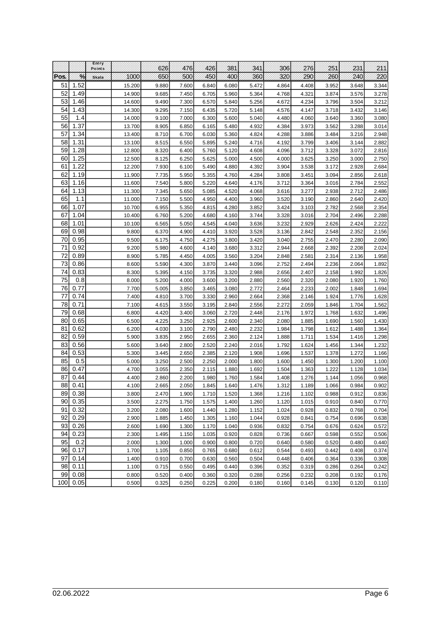|     |         | Entry.<br>Points |        | 626   | 476   | 426   | 381   | 341   | 306   | 276   | 251   | 231   | 211   |
|-----|---------|------------------|--------|-------|-------|-------|-------|-------|-------|-------|-------|-------|-------|
| Pos | $\%$    | Skala:           | 1000   | 650   | 500   | 450   | 400   | 360   | 320   | 290   | 260   | 240   | 220   |
| 51  | 1.52    |                  | 15.200 | 9.880 | 7.600 | 6.840 | 6.080 | 5.472 | 4.864 | 4.408 | 3.952 | 3.648 | 3.344 |
| 52  | 1.49    |                  | 14.900 | 9.685 | 7.450 | 6.705 | 5.960 | 5.364 | 4.768 | 4.321 | 3.874 | 3.576 | 3.278 |
| 53  | 1.46    |                  | 14.600 | 9.490 | 7.300 | 6.570 | 5.840 | 5.256 | 4.672 | 4.234 | 3.796 | 3.504 | 3.212 |
| 54  | 1.43    |                  | 14.300 | 9.295 | 7.150 | 6.435 | 5.720 | 5.148 | 4.576 | 4.147 | 3.718 | 3.432 | 3.146 |
| 55  | 1.4     |                  | 14.000 | 9.100 | 7.000 | 6.300 | 5.600 | 5.040 | 4.480 | 4.060 | 3.640 | 3.360 | 3.080 |
| 56  | 1.37    |                  | 13.700 | 8.905 | 6.850 | 6.165 | 5.480 | 4.932 | 4.384 | 3.973 | 3.562 | 3.288 | 3.014 |
| 57  | 1.34    |                  | 13.400 | 8.710 | 6.700 | 6.030 | 5.360 | 4.824 | 4.288 | 3.886 | 3.484 | 3.216 | 2.948 |
| 58  | 1.31    |                  | 13.100 | 8.515 | 6.550 | 5.895 | 5.240 | 4.716 | 4.192 | 3.799 | 3.406 | 3.144 | 2.882 |
| 59  | 1.28    |                  | 12.800 | 8.320 | 6.400 | 5.760 | 5.120 | 4.608 | 4.096 | 3.712 | 3.328 | 3.072 | 2.816 |
| 60  | 1.25    |                  | 12.500 | 8.125 | 6.250 | 5.625 | 5.000 | 4.500 | 4.000 | 3.625 | 3.250 | 3.000 | 2.750 |
| 61  | 1.22    |                  | 12.200 | 7.930 | 6.100 | 5.490 | 4.880 | 4.392 | 3.904 | 3.538 | 3.172 | 2.928 | 2.684 |
| 62  | 1.19    |                  | 11.900 | 7.735 | 5.950 | 5.355 | 4.760 | 4.284 | 3.808 | 3.451 | 3.094 | 2.856 | 2.618 |
| 63  | 1.16    |                  | 11.600 | 7.540 | 5.800 | 5.220 | 4.640 | 4.176 | 3.712 | 3.364 | 3.016 | 2.784 | 2.552 |
| 64  | 1.13    |                  | 11.300 | 7.345 | 5.650 | 5.085 | 4.520 | 4.068 | 3.616 | 3.277 | 2.938 | 2.712 | 2.486 |
| 65  | 1.1     |                  | 11.000 | 7.150 | 5.500 | 4.950 | 4.400 | 3.960 | 3.520 | 3.190 | 2.860 | 2.640 | 2.420 |
| 66  | 1.07    |                  | 10.700 | 6.955 | 5.350 | 4.815 | 4.280 | 3.852 | 3.424 | 3.103 | 2.782 | 2.568 | 2.354 |
| 67  | 1.04    |                  | 10.400 | 6.760 | 5.200 | 4.680 | 4.160 | 3.744 | 3.328 | 3.016 | 2.704 | 2.496 | 2.288 |
| 68  | 1.01    |                  | 10.100 | 6.565 | 5.050 | 4.545 | 4.040 | 3.636 | 3.232 | 2.929 | 2.626 | 2.424 | 2.222 |
| 69  | 0.98    |                  | 9.800  | 6.370 | 4.900 | 4.410 | 3.920 | 3.528 | 3.136 | 2.842 | 2.548 | 2.352 | 2.156 |
| 70  | 0.95    |                  | 9.500  | 6.175 | 4.750 | 4.275 | 3.800 | 3.420 | 3.040 | 2.755 | 2.470 | 2.280 | 2.090 |
| 71  | 0.92    |                  | 9.200  | 5.980 | 4.600 | 4.140 | 3.680 | 3.312 | 2.944 | 2.668 | 2.392 | 2.208 | 2.024 |
| 72  | 0.89    |                  | 8.900  | 5.785 | 4.450 | 4.005 | 3.560 | 3.204 | 2.848 | 2.581 | 2.314 | 2.136 | 1.958 |
| 73  | 0.86    |                  | 8.600  | 5.590 | 4.300 | 3.870 | 3.440 | 3.096 | 2.752 | 2.494 | 2.236 | 2.064 | 1.892 |
| 74  | 0.83    |                  | 8.300  | 5.395 | 4.150 | 3.735 | 3.320 | 2.988 | 2.656 | 2.407 | 2.158 | 1.992 | 1.826 |
| 75  | 0.8     |                  | 8.000  | 5.200 | 4.000 | 3.600 | 3.200 | 2.880 | 2.560 | 2.320 | 2.080 | 1.920 | 1.760 |
| 76  | 0.77    |                  | 7.700  | 5.005 | 3.850 | 3.465 | 3.080 | 2.772 | 2.464 | 2.233 | 2.002 | 1.848 | 1.694 |
| 77  | 0.74    |                  | 7.400  | 4.810 | 3.700 | 3.330 | 2.960 | 2.664 | 2.368 | 2.146 | 1.924 | 1.776 | 1.628 |
| 78  | 0.71    |                  | 7.100  | 4.615 | 3.550 | 3.195 | 2.840 | 2.556 | 2.272 | 2.059 | 1.846 | 1.704 | 1.562 |
| 79  | 0.68    |                  | 6.800  | 4.420 | 3.400 | 3.060 | 2.720 | 2.448 | 2.176 | 1.972 | 1.768 | 1.632 | 1.496 |
| 80  | 0.65    |                  | 6.500  | 4.225 | 3.250 | 2.925 | 2.600 | 2.340 | 2.080 | 1.885 | 1.690 | 1.560 | 1.430 |
| 81  | 0.62    |                  | 6.200  | 4.030 | 3.100 | 2.790 | 2.480 | 2.232 | 1.984 | 1.798 | 1.612 | 1.488 | 1.364 |
| 82  | 0.59    |                  | 5.900  | 3.835 | 2.950 | 2.655 | 2.360 | 2.124 | 1.888 | 1.711 | 1.534 | 1.416 | 1.298 |
| 83  | 0.56    |                  | 5.600  | 3.640 | 2.800 | 2.520 | 2.240 | 2.016 | 1.792 | 1.624 | 1.456 | 1.344 | 1.232 |
| 84  | 0.53    |                  | 5.300  | 3.445 | 2.650 | 2.385 | 2.120 | 1.908 | 1.696 | 1.537 | 1.378 | 1.272 | 1.166 |
| 85  | 0.5     |                  | 5.000  | 3.250 | 2.500 | 2.250 | 2.000 | 1.800 | 1.600 | 1.450 | 1.300 | 1.200 | 1.100 |
| 86  | 0.47    |                  | 4.700  | 3.055 | 2.350 | 2.115 | 1.880 | 1.692 | 1.504 | 1.363 | 1.222 | 1.128 | 1.034 |
| 87  | 0.44    |                  | 4.400  | 2.860 | 2.200 | 1.980 | 1.760 | 1.584 | 1.408 | 1.276 | 1.144 | 1.056 | 0.968 |
| 88  | 0.41    |                  | 4.100  | 2.665 | 2.050 | 1.845 | 1.640 | 1.476 | 1.312 | 1.189 | 1.066 | 0.984 | 0.902 |
|     | 89 0.38 |                  | 3.800  | 2.470 | 1.900 | 1.710 | 1.520 | 1.368 | 1.216 | 1.102 | 0.988 | 0.912 | 0.836 |
| 90  | 0.35    |                  | 3.500  | 2.275 | 1.750 | 1.575 | 1.400 | 1.260 | 1.120 | 1.015 | 0.910 | 0.840 | 0.770 |
| 91  | 0.32    |                  | 3.200  | 2.080 | 1.600 | 1.440 | 1.280 | 1.152 | 1.024 | 0.928 | 0.832 | 0.768 | 0.704 |
| 92  | 0.29    |                  | 2.900  | 1.885 | 1.450 | 1.305 | 1.160 | 1.044 | 0.928 | 0.841 | 0.754 | 0.696 | 0.638 |
| 93  | 0.26    |                  | 2.600  | 1.690 | 1.300 | 1.170 | 1.040 | 0.936 | 0.832 | 0.754 | 0.676 | 0.624 | 0.572 |
| 94  | 0.23    |                  | 2.300  | 1.495 | 1.150 | 1.035 | 0.920 | 0.828 | 0.736 | 0.667 | 0.598 | 0.552 | 0.506 |
| 95  | 0.2     |                  | 2.000  | 1.300 | 1.000 | 0.900 | 0.800 | 0.720 | 0.640 | 0.580 | 0.520 | 0.480 | 0.440 |
| 96  | 0.17    |                  | 1.700  | 1.105 | 0.850 | 0.765 | 0.680 | 0.612 | 0.544 | 0.493 | 0.442 | 0.408 | 0.374 |
| 97  | 0.14    |                  | 1.400  | 0.910 | 0.700 | 0.630 | 0.560 | 0.504 | 0.448 | 0.406 | 0.364 | 0.336 | 0.308 |
| 98  | 0.11    |                  | 1.100  | 0.715 | 0.550 | 0.495 | 0.440 | 0.396 | 0.352 | 0.319 | 0.286 | 0.264 | 0.242 |
| 99  | 0.08    |                  | 0.800  | 0.520 | 0.400 | 0.360 | 0.320 | 0.288 | 0.256 | 0.232 | 0.208 | 0.192 | 0.176 |
| 100 | 0.05    |                  | 0.500  | 0.325 | 0.250 | 0.225 | 0.200 | 0.180 | 0.160 | 0.145 | 0.130 | 0.120 | 0.110 |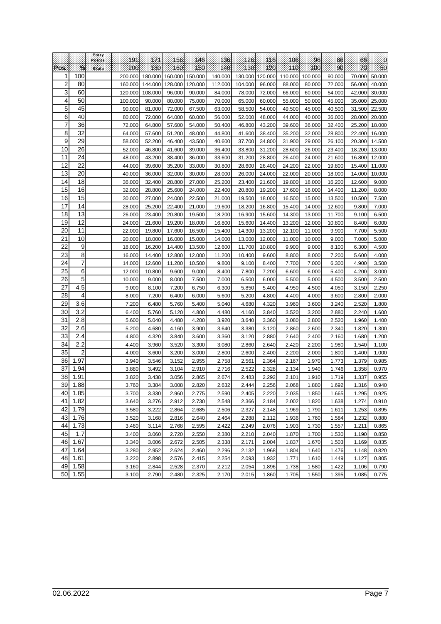|                |                | Entry<br>Points | 191     | 171     | 156     | 146     | 136     | 126     | 116     | 106     | 96      | 86     | 66     | 0      |
|----------------|----------------|-----------------|---------|---------|---------|---------|---------|---------|---------|---------|---------|--------|--------|--------|
| Pos            | %              | Skata           | 200     | 180     | 160     | 150     | 140     | 130     | 120     | 110     | 100     | 90     | 70     | 50     |
|                | 100            |                 | 200.000 | 180.000 | 160.000 | 150.000 | 140.000 | 130.000 | 120.000 | 110.000 | 100.000 | 90.000 | 70.000 | 50.000 |
| $\overline{c}$ | 80             |                 | 160.000 | 144.000 | 128.000 | 120.000 | 112.000 | 104.000 | 96.000  | 88.000  | 80.000  | 72.000 | 56.000 | 40.000 |
| 3              | 60             |                 | 120.000 | 108.000 | 96.000  | 90.000  | 84.000  | 78.000  | 72.000  | 66.000  | 60.000  | 54.000 | 42.000 | 30.000 |
| 4              | 50             |                 | 100.000 | 90.000  | 80.000  | 75.000  | 70.000  | 65.000  | 60.000  | 55.000  | 50.000  | 45.000 | 35.000 | 25.000 |
| 5              | 45             |                 | 90.000  | 81.000  | 72.000  | 67.500  | 63.000  | 58.500  | 54.000  | 49.500  | 45.000  | 40.500 | 31.500 | 22.500 |
| 6              | 40             |                 | 80.000  | 72.000  | 64.000  | 60.000  | 56.000  | 52.000  | 48.000  | 44.000  | 40.000  | 36.000 | 28.000 | 20.000 |
| $\overline{7}$ | 36             |                 | 72.000  | 64.800  | 57.600  | 54.000  | 50.400  | 46.800  | 43.200  | 39.600  | 36.000  | 32.400 | 25.200 | 18.000 |
| 8              | 32             |                 | 64.000  | 57.600  | 51.200  | 48.000  | 44.800  | 41.600  | 38.400  | 35.200  | 32.000  | 28.800 | 22.400 | 16.000 |
| 9              | 29             |                 | 58.000  | 52.200  | 46.400  | 43.500  | 40.600  | 37.700  | 34.800  | 31.900  | 29.000  | 26.100 | 20.300 | 14.500 |
| 10             | 26             |                 | 52.000  | 46.800  | 41.600  | 39.000  | 36.400  | 33.800  | 31.200  | 28.600  | 26.000  | 23.400 | 18.200 | 13.000 |
| 11             | 24             |                 | 48.000  | 43.200  | 38.400  | 36.000  | 33.600  | 31.200  | 28.800  | 26.400  | 24.000  | 21.600 | 16.800 | 12.000 |
| 12             | 22             |                 | 44.000  | 39.600  | 35.200  | 33.000  | 30.800  | 28.600  | 26.400  | 24.200  | 22.000  | 19.800 | 15.400 | 11.000 |
| 13             | 20             |                 | 40.000  | 36.000  | 32.000  | 30.000  | 28.000  | 26.000  | 24.000  | 22.000  | 20.000  | 18.000 | 14.000 | 10.000 |
| 14             | 18             |                 | 36.000  | 32.400  | 28.800  | 27.000  | 25.200  | 23.400  | 21.600  | 19.800  | 18.000  | 16.200 | 12.600 | 9.000  |
| 15             | 16             |                 | 32.000  | 28.800  | 25.600  | 24.000  | 22.400  | 20.800  | 19.200  | 17.600  | 16.000  | 14.400 | 11.200 | 8.000  |
| 16             | 15             |                 | 30.000  | 27.000  | 24.000  | 22.500  | 21.000  | 19.500  | 18.000  | 16.500  | 15.000  | 13.500 | 10.500 | 7.500  |
| 17             | 14             |                 | 28.000  | 25.200  | 22.400  | 21.000  | 19.600  | 18.200  | 16.800  | 15.400  | 14.000  | 12.600 | 9.800  | 7.000  |
| 18             | 13             |                 | 26.000  | 23.400  | 20.800  | 19.500  | 18.200  | 16.900  | 15.600  | 14.300  | 13.000  | 11.700 | 9.100  | 6.500  |
| 19             | 12             |                 | 24.000  | 21.600  | 19.200  | 18.000  | 16.800  | 15.600  | 14.400  | 13.200  | 12.000  | 10.800 | 8.400  | 6.000  |
| 20             | 11             |                 | 22.000  | 19.800  | 17.600  | 16.500  | 15.400  | 14.300  | 13.200  | 12.100  | 11.000  | 9.900  | 7.700  | 5.500  |
| 21             | 10             |                 | 20.000  | 18.000  | 16.000  | 15.000  | 14.000  | 13.000  | 12.000  | 11.000  | 10.000  | 9.000  | 7.000  | 5.000  |
| 22             | 9              |                 | 18.000  | 16.200  | 14.400  | 13.500  | 12.600  | 11.700  | 10.800  | 9.900   | 9.000   | 8.100  | 6.300  | 4.500  |
| 23             | 8              |                 | 16.000  | 14.400  | 12.800  | 12.000  | 11.200  | 10.400  | 9.600   | 8.800   | 8.000   | 7.200  | 5.600  | 4.000  |
| 24             | 7              |                 | 14.000  | 12.600  | 11.200  | 10.500  | 9.800   | 9.100   | 8.400   | 7.700   | 7.000   | 6.300  | 4.900  | 3.500  |
| 25             | 6              |                 | 12.000  | 10.800  | 9.600   | 9.000   | 8.400   | 7.800   | 7.200   | 6.600   | 6.000   | 5.400  | 4.200  | 3.000  |
| 26             | 5              |                 | 10.000  | 9.000   | 8.000   | 7.500   | 7.000   | 6.500   | 6.000   | 5.500   | 5.000   | 4.500  | 3.500  | 2.500  |
| 27             | 4.5            |                 | 9.000   | 8.100   | 7.200   | 6.750   | 6.300   | 5.850   | 5.400   | 4.950   | 4.500   | 4.050  | 3.150  | 2.250  |
| 28             | 4              |                 | 8.000   | 7.200   | 6.400   | 6.000   | 5.600   | 5.200   | 4.800   | 4.400   | 4.000   | 3.600  | 2.800  | 2.000  |
| 29             | 3.6            |                 | 7.200   | 6.480   | 5.760   | 5.400   | 5.040   | 4.680   | 4.320   | 3.960   | 3.600   | 3.240  | 2.520  | 1.800  |
| 30             | 3.2            |                 | 6.400   | 5.760   | 5.120   | 4.800   | 4.480   | 4.160   | 3.840   | 3.520   | 3.200   | 2.880  | 2.240  | 1.600  |
| 31             | 2.8            |                 | 5.600   | 5.040   | 4.480   | 4.200   | 3.920   | 3.640   | 3.360   | 3.080   | 2.800   | 2.520  | 1.960  | 1.400  |
| 32             | 2.6            |                 | 5.200   | 4.680   | 4.160   | 3.900   | 3.640   | 3.380   | 3.120   | 2.860   | 2.600   | 2.340  | 1.820  | 1.300  |
| 33             | 2.4            |                 | 4.800   | 4.320   | 3.840   | 3.600   | 3.360   | 3.120   | 2.880   | 2.640   | 2.400   | 2.160  | 1.680  | 1.200  |
| 34             | 2.2            |                 | 4.400   | 3.960   | 3.520   | 3.300   | 3.080   | 2.860   | 2.640   | 2.420   | 2.200   | 1.980  | 1.540  | 1.100  |
| 35             | $\overline{2}$ |                 | 4.000   | 3.600   | 3.200   | 3.000   | 2.800   | 2.600   | 2.400   | 2.200   | 2.000   | 1.800  | 1.400  | 1.000  |
| 36             | 1.97           |                 | 3.940   | 3.546   | 3.152   | 2.955   | 2.758   | 2.561   | 2.364   | 2.167   | 1.970   | 1.773  | 1.379  | 0.985  |
| 37             | 1.94           |                 | 3.880   | 3.492   | 3.104   | 2.910   | 2.716   | 2.522   | 2.328   | 2.134   | 1.940   | 1.746  | 1.358  | 0.970  |
| 38             | 1.91           |                 | 3.820   | 3.438   | 3.056   | 2.865   | 2.674   | 2.483   | 2.292   | 2.101   | 1.910   | 1.719  | 1.337  | 0.955  |
|                | $39$ $1.88$    |                 | 3.760   | 3.384   | 3.008   | 2.820   | 2.632   | 2.444   | 2.256   | 2.068   | 1.880   | 1.692  | 1.316  | 0.940  |
| 40             | 1.85           |                 | 3.700   | 3.330   | 2.960   | 2.775   | 2.590   | 2.405   | 2.220   | 2.035   | 1.850   | 1.665  | 1.295  | 0.925  |
| 41             | 1.82           |                 | 3.640   | 3.276   | 2.912   | 2.730   | 2.548   | 2.366   | 2.184   | 2.002   | 1.820   | 1.638  | 1.274  | 0.910  |
| 42             | 1.79           |                 | 3.580   | 3.222   | 2.864   | 2.685   | 2.506   | 2.327   | 2.148   | 1.969   | 1.790   | 1.611  | 1.253  | 0.895  |
| 43             | 1.76           |                 | 3.520   | 3.168   | 2.816   | 2.640   | 2.464   | 2.288   | 2.112   | 1.936   | 1.760   | 1.584  | 1.232  | 0.880  |
| 44             | 1.73           |                 | 3.460   | 3.114   | 2.768   | 2.595   | 2.422   | 2.249   | 2.076   | 1.903   | 1.730   | 1.557  | 1.211  | 0.865  |
| 45             | 1.7            |                 | 3.400   | 3.060   | 2.720   | 2.550   | 2.380   | 2.210   | 2.040   | 1.870   | 1.700   | 1.530  | 1.190  | 0.850  |
| 46             | 1.67           |                 | 3.340   | 3.006   | 2.672   | 2.505   | 2.338   | 2.171   | 2.004   | 1.837   | 1.670   | 1.503  | 1.169  | 0.835  |
| 47             | 1.64           |                 | 3.280   | 2.952   | 2.624   | 2.460   | 2.296   | 2.132   | 1.968   | 1.804   | 1.640   | 1.476  | 1.148  | 0.820  |
| 48             | 1.61           |                 | 3.220   | 2.898   | 2.576   | 2.415   | 2.254   | 2.093   | 1.932   | 1.771   | 1.610   | 1.449  | 1.127  | 0.805  |
| 49             | 1.58           |                 | 3.160   | 2.844   | 2.528   | 2.370   | 2.212   | 2.054   | 1.896   | 1.738   | 1.580   | 1.422  | 1.106  | 0.790  |
| 50             | 1.55           |                 | 3.100   | 2.790   | 2.480   | 2.325   | 2.170   | 2.015   | 1.860   | 1.705   | 1.550   | 1.395  | 1.085  | 0.775  |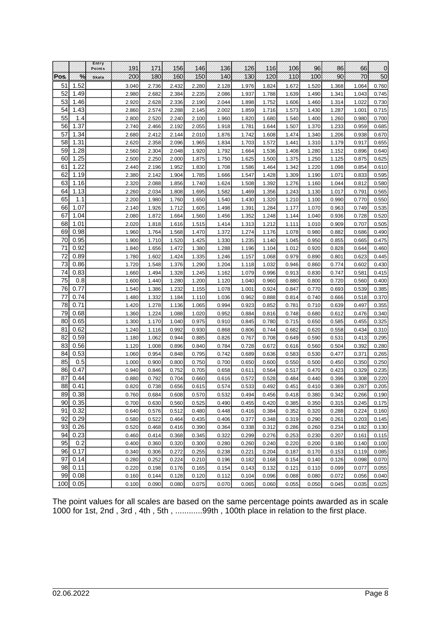|                 |               | Entry:<br>Paints | 191            | 171            | 156            | 146            | 136            | 126            | 116            | 106            | 96             | 86             | 66             | 0              |
|-----------------|---------------|------------------|----------------|----------------|----------------|----------------|----------------|----------------|----------------|----------------|----------------|----------------|----------------|----------------|
| Pos.            | $\frac{1}{2}$ | Skala            | 200            | 180            | 160            | 150            | 140            | 130            | 120            | 110            | 100            | 90             | 70             | 50             |
| 51              | 1.52          |                  | 3.040          | 2.736          | 2.432          | 2.280          | 2.128          | 1.976          | 1.824          | 1.672          | 1.520          | 1.368          | 1.064          | 0.760          |
| 52              | 1.49          |                  | 2.980          | 2.682          | 2.384          | 2.235          | 2.086          | 1.937          | 1.788          | 1.639          | 1.490          | 1.341          | 1.043          | 0.745          |
| 53              | 1.46          |                  | 2.920          | 2.628          | 2.336          | 2.190          | 2.044          | 1.898          | 1.752          | 1.606          | 1.460          | 1.314          | 1.022          | 0.730          |
| 54              | 1.43          |                  | 2.860          | 2.574          | 2.288          | 2.145          | 2.002          | 1.859          | 1.716          | 1.573          | 1.430          | 1.287          | 1.001          | 0.715          |
| 55              | 1.4           |                  | 2.800          | 2.520          | 2.240          | 2.100          | 1.960          | 1.820          | 1.680          | 1.540          | 1.400          | 1.260          | 0.980          | 0.700          |
| 56              | 1.37          |                  | 2.740          | 2.466          | 2.192          | 2.055          | 1.918          | 1.781          | 1.644          | 1.507          | 1.370          | 1.233          | 0.959          | 0.685          |
| 57              | 1.34          |                  | 2.680          | 2.412          | 2.144          | 2.010          | 1.876          | 1.742          | 1.608          | 1.474          | 1.340          | 1.206          | 0.938          | 0.670          |
| 58              | 1.31          |                  | 2.620          | 2.358          | 2.096          | 1.965          | 1.834          | 1.703          | 1.572          | 1.441          | 1.310          | 1.179          | 0.917          | 0.655          |
| 59              | 1.28          |                  | 2.560          | 2.304          | 2.048          | 1.920          | 1.792          | 1.664          | 1.536          | 1.408          | 1.280          | 1.152          | 0.896          | 0.640          |
| 60              | 1.25          |                  | 2.500          | 2.250          | 2.000          | 1.875          | 1.750          | 1.625          | 1.500          | 1.375          | 1.250          | 1.125          | 0.875          | 0.625          |
| 61              | 1.22          |                  | 2.440          | 2.196          | 1.952          | 1.830          | 1.708          | 1.586          | 1.464          | 1.342          | 1.220          | 1.098          | 0.854          | 0.610          |
| 62              | 1.19          |                  | 2.380          | 2.142          | 1.904          | 1.785          | 1.666          | 1.547          | 1.428          | 1.309          | 1.190          | 1.071          | 0.833          | 0.595          |
| 63              | 1.16          |                  | 2.320          | 2.088          | 1.856          | 1.740          | 1.624          | 1.508          | 1.392          | 1.276          | 1.160          | 1.044          | 0.812          | 0.580          |
| 64              | 1.13          |                  | 2.260          | 2.034          | 1.808          | 1.695          | 1.582          | 1.469          | 1.356          | 1.243          | 1.130          | 1.017          | 0.791          | 0.565          |
| 65              | 1.1           |                  | 2.200          | 1.980          | 1.760          | 1.650          | 1.540          | 1.430          | 1.320          | 1.210          | 1.100          | 0.990          | 0.770          | 0.550          |
| 66              | 1.07          |                  | 2.140          | 1.926          | 1.712          | 1.605          | 1.498          | 1.391          | 1.284          | 1.177          | 1.070          | 0.963          | 0.749          | 0.535          |
| 67              | 1.04          |                  | 2.080          | 1.872          | 1.664          | 1.560          | 1.456          | 1.352          | 1.248          | 1.144          | 1.040          | 0.936          | 0.728          | 0.520          |
| 68              | 1.01          |                  | 2.020          | 1.818          | 1.616          | 1.515          | 1.414          | 1.313          | 1.212          | 1.111          | 1.010          | 0.909          | 0.707          | 0.505          |
| 69<br>70        | 0.98<br>0.95  |                  | 1.960<br>1.900 | 1.764<br>1.710 | 1.568<br>1.520 | 1.470<br>1.425 | 1.372<br>1.330 | 1.274<br>1.235 | 1.176<br>1.140 | 1.078<br>1.045 | 0.980          | 0.882<br>0.855 | 0.686<br>0.665 | 0.490<br>0.475 |
| 71              | 0.92          |                  |                |                |                | 1.380          | 1.288          |                |                | 1.012          | 0.950          |                |                |                |
| 72              | 0.89          |                  | 1.840<br>1.780 | 1.656<br>1.602 | 1.472<br>1.424 | 1.335          | 1.246          | 1.196<br>1.157 | 1.104<br>1.068 | 0.979          | 0.920<br>0.890 | 0.828<br>0.801 | 0.644<br>0.623 | 0.460<br>0.445 |
| 73              | 0.86          |                  | 1.720          | 1.548          | 1.376          | 1.290          | 1.204          | 1.118          | 1.032          | 0.946          | 0.860          | 0.774          | 0.602          | 0.430          |
| 74              | 0.83          |                  | 1.660          | 1.494          | 1.328          | 1.245          | 1.162          | 1.079          | 0.996          | 0.913          | 0.830          | 0.747          | 0.581          | 0.415          |
| 75              | 0.8           |                  | 1.600          | 1.440          | 1.280          | 1.200          | 1.120          | 1.040          | 0.960          | 0.880          | 0.800          | 0.720          | 0.560          | 0.400          |
| 76              | 0.77          |                  | 1.540          | 1.386          | 1.232          | 1.155          | 1.078          | 1.001          | 0.924          | 0.847          | 0.770          | 0.693          | 0.539          | 0.385          |
| 77              | 0.74          |                  | 1.480          | 1.332          | 1.184          | 1.110          | 1.036          | 0.962          | 0.888          | 0.814          | 0.740          | 0.666          | 0.518          | 0.370          |
| 78              | 0.71          |                  | 1.420          | 1.278          | 1.136          | 1.065          | 0.994          | 0.923          | 0.852          | 0.781          | 0.710          | 0.639          | 0.497          | 0.355          |
| 79              | 0.68          |                  | 1.360          | 1.224          | 1.088          | 1.020          | 0.952          | 0.884          | 0.816          | 0.748          | 0.680          | 0.612          | 0.476          | 0.340          |
| 80              | 0.65          |                  | 1.300          | 1.170          | 1.040          | 0.975          | 0.910          | 0.845          | 0.780          | 0.715          | 0.650          | 0.585          | 0.455          | 0.325          |
| 81              | 0.62          |                  | 1.240          | 1.116          | 0.992          | 0.930          | 0.868          | 0.806          | 0.744          | 0.682          | 0.620          | 0.558          | 0.434          | 0.310          |
| 82              | 0.59          |                  | 1.180          | 1.062          | 0.944          | 0.885          | 0.826          | 0.767          | 0.708          | 0.649          | 0.590          | 0.531          | 0.413          | 0.295          |
| 83              | 0.56          |                  | 1.120          | 1.008          | 0.896          | 0.840          | 0.784          | 0.728          | 0.672          | 0.616          | 0.560          | 0.504          | 0.392          | 0.280          |
| 84              | 0.53          |                  | 1.060          | 0.954          | 0.848          | 0.795          | 0.742          | 0.689          | 0.636          | 0.583          | 0.530          | 0.477          | 0.371          | 0.265          |
| 85              | 0.5           |                  | 1.000          | 0.900          | 0.800          | 0.750          | 0.700          | 0.650          | 0.600          | 0.550          | 0.500          | 0.450          | 0.350          | 0.250          |
| 86              | 0.47          |                  | 0.940          | 0.846          | 0.752          | 0.705          | 0.658          | 0.611          | 0.564          | 0.517          | 0.470          | 0.423          | 0.329          | 0.235          |
| 87              | 0.44          |                  | 0.880          | 0.792          | 0.704          | 0.660          | 0.616          | 0.572          | 0.528          | 0.484          | 0.440          | 0.396          | 0.308          | 0.220          |
| 88              | 0.41          |                  | 0.820          | 0.738          | 0.656          | 0.615          | 0.574          | 0.533          | 0.492          | 0.451          | 0.410          | 0.369          | 0.287          | 0.205          |
| 89              | 0.38          |                  | 0.760          | 0.684          | 0.608          | 0.570          | 0.532          | 0.494          | 0.456          | 0.418          | 0.380          | 0.342          | 0.266          | 0.190          |
| 90 <sub>l</sub> | 0.35          |                  | 0.700          | 0.630          | 0.560          | 0.525          | 0.490          | 0.455          | 0.420          | 0.385          | 0.350          | 0.315          | 0.245          | 0.175          |
| 91              | 0.32          |                  | 0.640          | 0.576          | 0.512          | 0.480          | 0.448          | 0.416          | 0.384          | 0.352          | 0.320          | 0.288          | 0.224          | 0.160          |
| 92              | 0.29          |                  | 0.580          | 0.522          | 0.464          | 0.435          | 0.406          | 0.377          | 0.348          | 0.319          | 0.290          | 0.261          | 0.203          | 0.145          |
| 93              | 0.26          |                  | 0.520          | 0.468          | 0.416          | 0.390          | 0.364          | 0.338          | 0.312          | 0.286          | 0.260          | 0.234          | 0.182          | 0.130          |
| 94              | 0.23          |                  | 0.460          | 0.414          | 0.368          | 0.345          | 0.322          | 0.299          | 0.276          | 0.253          | 0.230          | 0.207          | 0.161          | 0.115          |
| 95              | 0.2           |                  | 0.400          | 0.360          | 0.320          | 0.300          | 0.280          | 0.260          | 0.240          | 0.220          | 0.200          | 0.180          | 0.140          | 0.100          |
| 96              | 0.17          |                  | 0.340          | 0.306          | 0.272          | 0.255          | 0.238          | 0.221          | 0.204          | 0.187          | 0.170          | 0.153          | 0.119          | 0.085          |
| 97              | 0.14          |                  | 0.280          | 0.252          | 0.224          | 0.210          | 0.196          | 0.182          | 0.168          | 0.154          | 0.140          | 0.126          | 0.098          | 0.070          |
| 98              | 0.11          |                  | 0.220          | 0.198          | 0.176          | 0.165          | 0.154          | 0.143          | 0.132          | 0.121          | 0.110          | 0.099          | 0.077          | 0.055          |
| 99              | 0.08          |                  | 0.160          | 0.144          | 0.128          | 0.120          | 0.112          | 0.104          | 0.096          | 0.088          | 0.080          | 0.072          | 0.056          | 0.040          |
| 100             | 0.05          |                  | 0.100          | 0.090          | 0.080          | 0.075          | 0.070          | 0.065          | 0.060          | 0.055          | 0.050          | 0.045          | 0.035          | 0.025          |

The point values for all scales are based on the same percentage points awarded as in scale 1000 for 1st, 2nd , 3rd , 4th , 5th , ............99th , 100th place in relation to the first place.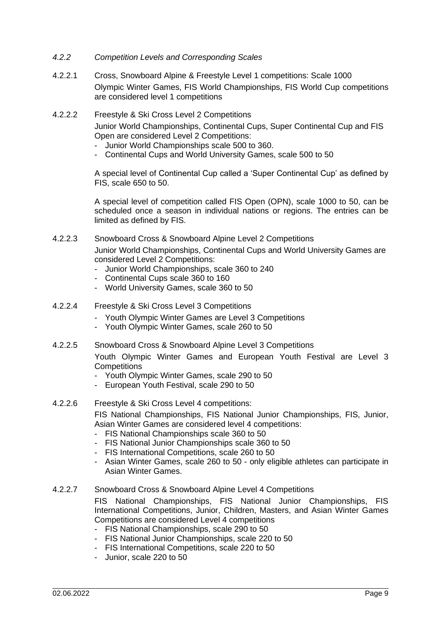- *4.2.2 Competition Levels and Corresponding Scales*
- 4.2.2.1 Cross, Snowboard Alpine & Freestyle Level 1 competitions: Scale 1000 Olympic Winter Games, FIS World Championships, FIS World Cup competitions are considered level 1 competitions
- 4.2.2.2 Freestyle & Ski Cross Level 2 Competitions Junior World Championships, Continental Cups, Super Continental Cup and FIS Open are considered Level 2 Competitions: - Junior World Championships scale 500 to 360.
	- Continental Cups and World University Games, scale 500 to 50

A special level of Continental Cup called a 'Super Continental Cup' as defined by FIS, scale 650 to 50.

A special level of competition called FIS Open (OPN), scale 1000 to 50, can be scheduled once a season in individual nations or regions. The entries can be limited as defined by FIS.

4.2.2.3 Snowboard Cross & Snowboard Alpine Level 2 Competitions

Junior World Championships, Continental Cups and World University Games are considered Level 2 Competitions:

- Junior World Championships, scale 360 to 240
- Continental Cups scale 360 to 160
- World University Games, scale 360 to 50
- 4.2.2.4 Freestyle & Ski Cross Level 3 Competitions
	- Youth Olympic Winter Games are Level 3 Competitions
	- Youth Olympic Winter Games, scale 260 to 50
- 4.2.2.5 Snowboard Cross & Snowboard Alpine Level 3 Competitions Youth Olympic Winter Games and European Youth Festival are Level 3 **Competitions** 
	- Youth Olympic Winter Games, scale 290 to 50
	- European Youth Festival, scale 290 to 50
- 4.2.2.6 Freestyle & Ski Cross Level 4 competitions:

FIS National Championships, FIS National Junior Championships, FIS, Junior, Asian Winter Games are considered level 4 competitions:

- FIS National Championships scale 360 to 50
- FIS National Junior Championships scale 360 to 50
- FIS International Competitions, scale 260 to 50
- Asian Winter Games, scale 260 to 50 only eligible athletes can participate in Asian Winter Games.

#### 4.2.2.7 Snowboard Cross & Snowboard Alpine Level 4 Competitions

FIS National Championships, FIS National Junior Championships, FIS International Competitions, Junior, Children, Masters, and Asian Winter Games Competitions are considered Level 4 competitions

- FIS National Championships, scale 290 to 50
- FIS National Junior Championships, scale 220 to 50
- FIS International Competitions, scale 220 to 50
- Junior, scale 220 to 50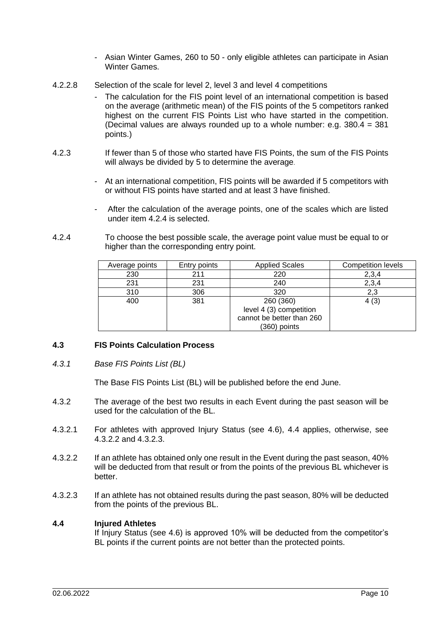- Asian Winter Games, 260 to 50 only eligible athletes can participate in Asian Winter Games.
- 4.2.2.8 Selection of the scale for level 2, level 3 and level 4 competitions
	- The calculation for the FIS point level of an international competition is based on the average (arithmetic mean) of the FIS points of the 5 competitors ranked highest on the current FIS Points List who have started in the competition. (Decimal values are always rounded up to a whole number: e.g. 380.4 = 381 points.)
- 4.2.3 If fewer than 5 of those who started have FIS Points, the sum of the FIS Points will always be divided by 5 to determine the average.
	- At an international competition, FIS points will be awarded if 5 competitors with or without FIS points have started and at least 3 have finished.
	- After the calculation of the average points, one of the scales which are listed under item 4.2.4 is selected.
- 4.2.4 To choose the best possible scale, the average point value must be equal to or higher than the corresponding entry point.

| Average points | Entry points | <b>Applied Scales</b>     | <b>Competition levels</b> |
|----------------|--------------|---------------------------|---------------------------|
| 230            | 211          | 220                       | 2,3,4                     |
| 231            | 231          | 240                       | 2,3,4                     |
| 310            | 306          | 320                       | 2,3                       |
| 400            | 381          | 260 (360)                 | 4(3)                      |
|                |              | level 4 (3) competition   |                           |
|                |              | cannot be better than 260 |                           |
|                |              | (360) points              |                           |

# **4.3 FIS Points Calculation Process**

*4.3.1 Base FIS Points List (BL)*

The Base FIS Points List (BL) will be published before the end June.

- 4.3.2 The average of the best two results in each Event during the past season will be used for the calculation of the BL.
- 4.3.2.1 For athletes with approved Injury Status (see 4.6), 4.4 applies, otherwise, see 4.3.2.2 and 4.3.2.3.
- 4.3.2.2 If an athlete has obtained only one result in the Event during the past season, 40% will be deducted from that result or from the points of the previous BL whichever is better.
- 4.3.2.3 If an athlete has not obtained results during the past season, 80% will be deducted from the points of the previous BL.

#### **4.4 Injured Athletes**

If Injury Status (see 4.6) is approved 10% will be deducted from the competitor's BL points if the current points are not better than the protected points.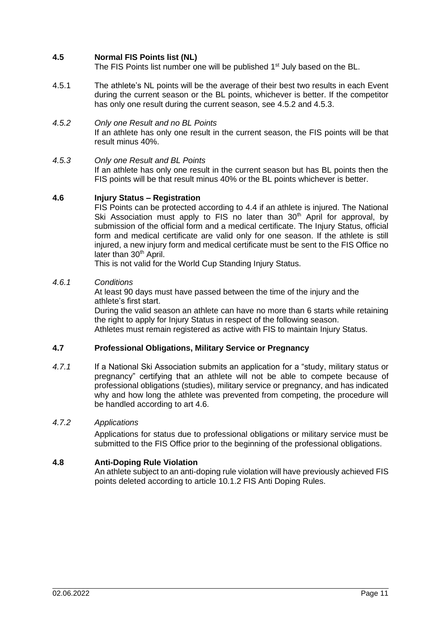# **4.5 Normal FIS Points list (NL)**

The FIS Points list number one will be published 1<sup>st</sup> July based on the BL.

4.5.1 The athlete's NL points will be the average of their best two results in each Event during the current season or the BL points, whichever is better. If the competitor has only one result during the current season, see 4.5.2 and 4.5.3.

#### *4.5.2 Only one Result and no BL Points*

If an athlete has only one result in the current season, the FIS points will be that result minus 40%.

#### *4.5.3 Only one Result and BL Points*

If an athlete has only one result in the current season but has BL points then the FIS points will be that result minus 40% or the BL points whichever is better.

#### **4.6 Injury Status – Registration**

FIS Points can be protected according to 4.4 if an athlete is injured. The National Ski Association must apply to FIS no later than 30<sup>th</sup> April for approval, by submission of the official form and a medical certificate. The Injury Status, official form and medical certificate are valid only for one season. If the athlete is still injured, a new injury form and medical certificate must be sent to the FIS Office no later than 30<sup>th</sup> April.

This is not valid for the World Cup Standing Injury Status.

# *4.6.1 Conditions*

At least 90 days must have passed between the time of the injury and the athlete's first start.

During the valid season an athlete can have no more than 6 starts while retaining the right to apply for Injury Status in respect of the following season. Athletes must remain registered as active with FIS to maintain Injury Status.

## **4.7 Professional Obligations, Military Service or Pregnancy**

*4.7.1* If a National Ski Association submits an application for a "study, military status or pregnancy" certifying that an athlete will not be able to compete because of professional obligations (studies), military service or pregnancy, and has indicated why and how long the athlete was prevented from competing, the procedure will be handled according to art 4.6.

#### *4.7.2 Applications*

Applications for status due to professional obligations or military service must be submitted to the FIS Office prior to the beginning of the professional obligations.

## **4.8 Anti-Doping Rule Violation**

An athlete subject to an anti-doping rule violation will have previously achieved FIS points deleted according to article 10.1.2 FIS Anti Doping Rules.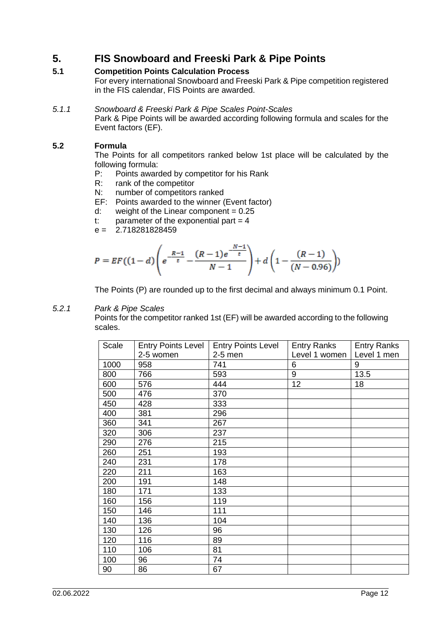# **5. FIS Snowboard and Freeski Park & Pipe Points**

# **5.1 Competition Points Calculation Process**

For every international Snowboard and Freeski Park & Pipe competition registered in the FIS calendar, FIS Points are awarded.

*5.1.1 Snowboard & Freeski Park & Pipe Scales Point-Scales*

Park & Pipe Points will be awarded according following formula and scales for the Event factors (EF).

# **5.2 Formula**

The Points for all competitors ranked below 1st place will be calculated by the following formula:

- P: Points awarded by competitor for his Rank
- R: rank of the competitor
- N: number of competitors ranked
- EF: Points awarded to the winner (Event factor)
- d: weight of the Linear component  $= 0.25$
- t: parameter of the exponential part  $= 4$
- $e = 2.718281828459$

$$
P = EF((1-d)\left(e^{-\frac{R-1}{t}} - \frac{(R-1)e^{-\frac{N-1}{t}}}{N-1}\right) + d\left(1 - \frac{(R-1)}{(N-0.96)}\right))
$$

The Points (P) are rounded up to the first decimal and always minimum 0.1 Point.

#### *5.2.1 Park & Pipe Scales*

Points for the competitor ranked 1st (EF) will be awarded according to the following scales.

| Scale | Entry Points Level | <b>Entry Points Level</b> | <b>Entry Ranks</b> | <b>Entry Ranks</b> |
|-------|--------------------|---------------------------|--------------------|--------------------|
|       | 2-5 women          | $2-5$ men                 | Level 1 women      | Level 1 men        |
| 1000  | 958                | 741                       | 6                  | 9                  |
| 800   | 766                | 593                       | 9                  | 13.5               |
| 600   | 576                | 444                       | 12                 | 18                 |
| 500   | 476                | 370                       |                    |                    |
| 450   | 428                | 333                       |                    |                    |
| 400   | 381                | 296                       |                    |                    |
| 360   | 341                | 267                       |                    |                    |
| 320   | 306                | 237                       |                    |                    |
| 290   | 276                | 215                       |                    |                    |
| 260   | 251                | 193                       |                    |                    |
| 240   | 231                | 178                       |                    |                    |
| 220   | 211                | 163                       |                    |                    |
| 200   | 191                | 148                       |                    |                    |
| 180   | 171                | 133                       |                    |                    |
| 160   | 156                | 119                       |                    |                    |
| 150   | 146                | 111                       |                    |                    |
| 140   | 136                | 104                       |                    |                    |
| 130   | 126                | 96                        |                    |                    |
| 120   | 116                | 89                        |                    |                    |
| 110   | 106                | 81                        |                    |                    |
| 100   | 96                 | 74                        |                    |                    |
| 90    | 86                 | 67                        |                    |                    |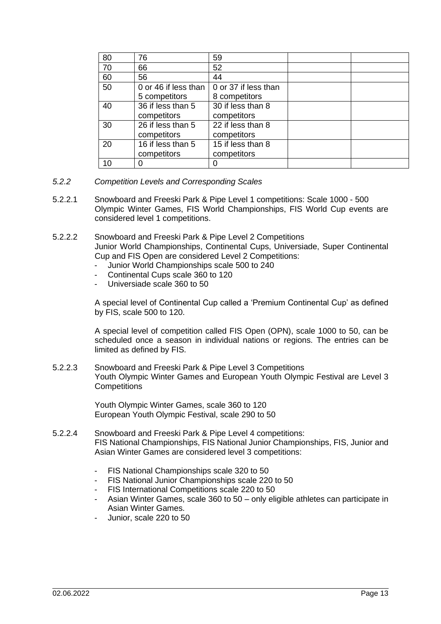| 80 | 76                   | 59                   |  |
|----|----------------------|----------------------|--|
| 70 | 66                   | 52                   |  |
| 60 | 56                   | 44                   |  |
| 50 | 0 or 46 if less than | 0 or 37 if less than |  |
|    | 5 competitors        | 8 competitors        |  |
| 40 | 36 if less than 5    | 30 if less than 8    |  |
|    | competitors          | competitors          |  |
| 30 | 26 if less than 5    | 22 if less than 8    |  |
|    | competitors          | competitors          |  |
| 20 | 16 if less than 5    | 15 if less than 8    |  |
|    | competitors          | competitors          |  |
| 10 |                      |                      |  |

- *5.2.2 Competition Levels and Corresponding Scales*
- 5.2.2.1 Snowboard and Freeski Park & Pipe Level 1 competitions: Scale 1000 500 Olympic Winter Games, FIS World Championships, FIS World Cup events are considered level 1 competitions.
- 5.2.2.2 Snowboard and Freeski Park & Pipe Level 2 Competitions Junior World Championships, Continental Cups, Universiade, Super Continental Cup and FIS Open are considered Level 2 Competitions:
	- Junior World Championships scale 500 to 240
	- Continental Cups scale 360 to 120
	- Universiade scale 360 to 50

A special level of Continental Cup called a 'Premium Continental Cup' as defined by FIS, scale 500 to 120.

A special level of competition called FIS Open (OPN), scale 1000 to 50, can be scheduled once a season in individual nations or regions. The entries can be limited as defined by FIS.

5.2.2.3 Snowboard and Freeski Park & Pipe Level 3 Competitions Youth Olympic Winter Games and European Youth Olympic Festival are Level 3 **Competitions** 

> Youth Olympic Winter Games, scale 360 to 120 European Youth Olympic Festival, scale 290 to 50

- 5.2.2.4 Snowboard and Freeski Park & Pipe Level 4 competitions: FIS National Championships, FIS National Junior Championships, FIS, Junior and Asian Winter Games are considered level 3 competitions:
	- FIS National Championships scale 320 to 50
	- FIS National Junior Championships scale 220 to 50
	- FIS International Competitions scale 220 to 50
	- Asian Winter Games, scale 360 to 50 only eligible athletes can participate in Asian Winter Games.
	- Junior, scale 220 to 50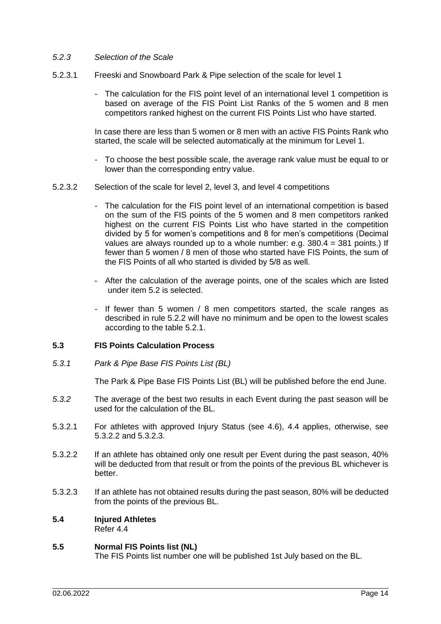#### *5.2.3 Selection of the Scale*

- 5.2.3.1 Freeski and Snowboard Park & Pipe selection of the scale for level 1
	- The calculation for the FIS point level of an international level 1 competition is based on average of the FIS Point List Ranks of the 5 women and 8 men competitors ranked highest on the current FIS Points List who have started.

In case there are less than 5 women or 8 men with an active FIS Points Rank who started, the scale will be selected automatically at the minimum for Level 1.

- To choose the best possible scale, the average rank value must be equal to or lower than the corresponding entry value.
- 5.2.3.2 Selection of the scale for level 2, level 3, and level 4 competitions
	- The calculation for the FIS point level of an international competition is based on the sum of the FIS points of the 5 women and 8 men competitors ranked highest on the current FIS Points List who have started in the competition divided by 5 for women's competitions and 8 for men's competitions (Decimal values are always rounded up to a whole number: e.g. 380.4 = 381 points.) If fewer than 5 women / 8 men of those who started have FIS Points, the sum of the FIS Points of all who started is divided by 5/8 as well.
	- After the calculation of the average points, one of the scales which are listed under item 5.2 is selected.
	- If fewer than 5 women / 8 men competitors started, the scale ranges as described in rule 5.2.2 will have no minimum and be open to the lowest scales according to the table 5.2.1.

#### **5.3 FIS Points Calculation Process**

*5.3.1 Park & Pipe Base FIS Points List (BL)*

The Park & Pipe Base FIS Points List (BL) will be published before the end June.

- *5.3.2* The average of the best two results in each Event during the past season will be used for the calculation of the BL.
- 5.3.2.1 For athletes with approved Injury Status (see 4.6), 4.4 applies, otherwise, see 5.3.2.2 and 5.3.2.3.
- 5.3.2.2 If an athlete has obtained only one result per Event during the past season, 40% will be deducted from that result or from the points of the previous BL whichever is better.
- 5.3.2.3 If an athlete has not obtained results during the past season, 80% will be deducted from the points of the previous BL.

# **5.4 Injured Athletes**

Refer 4.4

## **5.5 Normal FIS Points list (NL)**

The FIS Points list number one will be published 1st July based on the BL.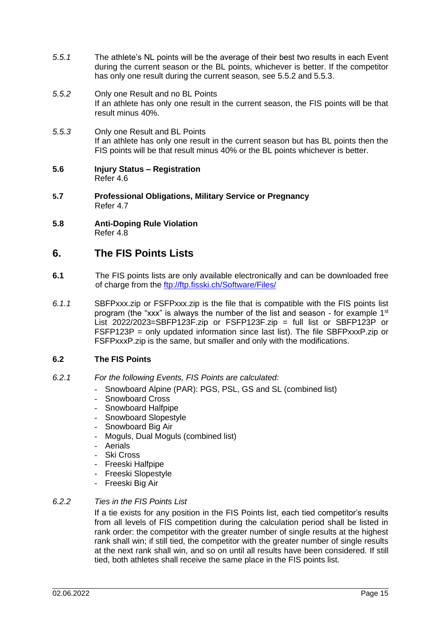- *5.5.1* The athlete's NL points will be the average of their best two results in each Event during the current season or the BL points, whichever is better. If the competitor has only one result during the current season, see 5.5.2 and 5.5.3.
- *5.5.2* Only one Result and no BL Points If an athlete has only one result in the current season, the FIS points will be that result minus 40%.
- *5.5.3* Only one Result and BL Points If an athlete has only one result in the current season but has BL points then the FIS points will be that result minus 40% or the BL points whichever is better.
- **5.6 Injury Status – Registration**  Refer 4.6
- **5.7 Professional Obligations, Military Service or Pregnancy** Refer 4.7
- **5.8 Anti-Doping Rule Violation** Refer 4.8

# **6. The FIS Points Lists**

- **6.1** The FIS points lists are only available electronically and can be downloaded free of charge from the<ftp://ftp.fisski.ch/Software/Files/>
- *6.1.1* SBFPxxx.zip or FSFPxxx.zip is the file that is compatible with the FIS points list program (the "xxx" is always the number of the list and season - for example 1<sup>st</sup> List 2022/2023=SBFP123F.zip or FSFP123F.zip = full list or SBFP123P or FSFP123P = only updated information since last list). The file SBFPxxxP.zip or FSFPxxxP.zip is the same, but smaller and only with the modifications.

# **6.2 The FIS Points**

- *6.2.1 For the following Events, FIS Points are calculated:*
	- Snowboard Alpine (PAR): PGS, PSL, GS and SL (combined list)
	- Snowboard Cross
	- Snowboard Halfpipe
	- Snowboard Slopestyle
	- Snowboard Big Air
	- Moguls, Dual Moguls (combined list)
	- Aerials
	- Ski Cross
	- Freeski Halfpipe
	- Freeski Slopestyle
	- Freeski Big Air

# *6.2.2 Ties in the FIS Points List*

If a tie exists for any position in the FIS Points list, each tied competitor's results from all levels of FIS competition during the calculation period shall be listed in rank order: the competitor with the greater number of single results at the highest rank shall win; if still tied, the competitor with the greater number of single results at the next rank shall win, and so on until all results have been considered. If still tied, both athletes shall receive the same place in the FIS points list.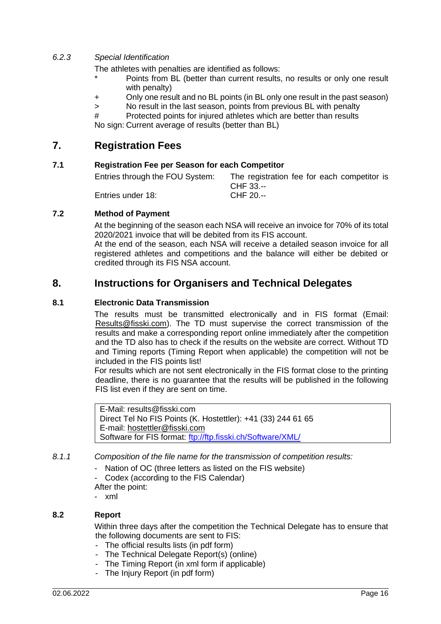# *6.2.3 Special Identification*

The athletes with penalties are identified as follows:

- Points from BL (better than current results, no results or only one result with penalty)
- + Only one result and no BL points (in BL only one result in the past season)
- > No result in the last season, points from previous BL with penalty

# Protected points for injured athletes which are better than results

No sign: Current average of results (better than BL)

# **7. Registration Fees**

## **7.1 Registration Fee per Season for each Competitor**

Entries through the FOU System: The registration fee for each competitor is CHF 33.--<br>CHF 20.--

Entries under 18:

# **7.2 Method of Payment**

At the beginning of the season each NSA will receive an invoice for 70% of its total 2020/2021 invoice that will be debited from its FIS account.

At the end of the season, each NSA will receive a detailed season invoice for all registered athletes and competitions and the balance will either be debited or credited through its FIS NSA account.

# **8. Instructions for Organisers and Technical Delegates**

## **8.1 Electronic Data Transmission**

The results must be transmitted electronically and in FIS format (Email: Results@fisski.com). The TD must supervise the correct transmission of the results and make a corresponding report online immediately after the competition and the TD also has to check if the results on the website are correct. Without TD and Timing reports (Timing Report when applicable) the competition will not be included in the FIS points list!

For results which are not sent electronically in the FIS format close to the printing deadline, there is no guarantee that the results will be published in the following FIS list even if they are sent on time.

E-Mail: results@fisski.com Direct Tel No FIS Points (K. Hostettler): +41 (33) 244 61 65 E-mail: hostettler@fisski.com Software for FIS format:<ftp://ftp.fisski.ch/Software/XML/>

- *8.1.1 Composition of the file name for the transmission of competition results:*
	- Nation of OC (three letters as listed on the FIS website)
	- Codex (according to the FIS Calendar)

After the point:

- xml

## **8.2 Report**

Within three days after the competition the Technical Delegate has to ensure that the following documents are sent to FIS:

- The official results lists (in pdf form)
- The Technical Delegate Report(s) (online)
- The Timing Report (in xml form if applicable)
- The Injury Report (in pdf form)